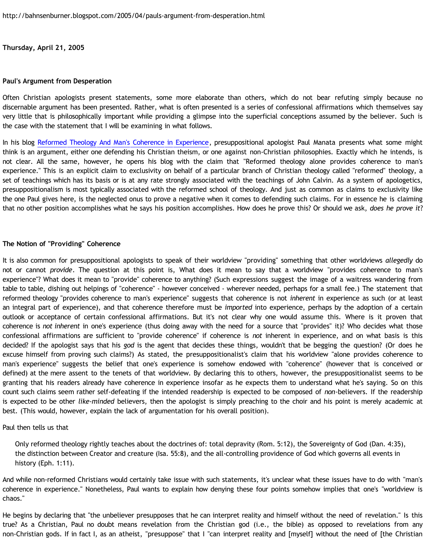**Thursday, April 21, 2005**

## **Paul's Argument from Desperation**

Often Christian apologists present statements, some more elaborate than others, which do not bear refuting simply because no discernable argument has been presented. Rather, what is often presented is a series of confessional affirmations which themselves say very little that is philosophically important while providing a glimpse into the superficial conceptions assumed by the believer. Such is the case with the statement that I will be examining in what follows.

In his blog [Reformed Theology And Man's Coherence in Experience,](http://presstheantithesis.blogspot.com/2005/04/reformed-theology-and-coherence-in.html) presuppositional apologist Paul Manata presents what some might think is an argument, either one defending his Christian theism, or one against non-Christian philosophies. Exactly which he intends, is not clear. All the same, however, he opens his blog with the claim that "Reformed theology alone provides coherence to man's experience." This is an explicit claim to exclusivity on behalf of a particular branch of Christian theology called "reformed" theology, a set of teachings which has its basis or is at any rate strongly associated with the teachings of John Calvin. As a system of apologetics, presuppositionalism is most typically associated with the reformed school of theology. And just as common as claims to exclusivity like the one Paul gives here, is the neglected onus to prove a negative when it comes to defending such claims. For in essence he is claiming that no other position accomplishes what he says his position accomplishes. How does he prove this? Or should we ask, *does he prove it*?

## **The Notion of "Providing" Coherence**

It is also common for presuppositional apologists to speak of their worldview "providing" something that other worldviews *allegedly* do not or cannot *provide*. The question at this point is, What does it mean to say that a worldview "provides coherence to man's experience"? What does it mean to "provide" coherence to anything? (Such expressions suggest the image of a waitress wandering from table to table, dishing out helpings of "coherence" - however conceived - wherever needed, perhaps for a small fee.) The statement that reformed theology "provides coherence to man's experience" suggests that coherence is not *inherent* in experience as such (or at least an integral part of experience), and that coherence therefore must be *imported* into experience, perhaps by the adoption of a certain outlook or acceptance of certain confessional affirmations. But it's not clear why one would assume this. Where is it proven that coherence is *not inherent* in one's experience (thus doing away with the need for a source that "provides" it)? Who decides what those confessional affirmations are sufficient to "provide coherence" if coherence is *not* inherent in experience, and on what basis is this decided? If the apologist says that his *god* is the agent that decides these things, wouldn't that be begging the question? (Or does he excuse himself from proving such claims?) As stated, the presuppositionalist's claim that his worldview "alone provides coherence to man's experience" suggests the belief that one's experience is somehow endowed with "coherence" (however that is conceived or defined) at the mere assent to the tenets of that worldview. By declaring this to others, however, the presuppositionalist seems to be granting that his readers already have coherence in experience insofar as he expects them to understand what he's saying. So on this count such claims seem rather self-defeating if the intended readership is expected to be composed of *non*-believers. If the readership is expected to be other *like-minded* believers, then the apologist is simply preaching to the choir and his point is merely academic at best. (This would, however, explain the lack of argumentation for his overall position).

## Paul then tells us that

Only reformed theology rightly teaches about the doctrines of: total depravity (Rom. 5:12), the Sovereignty of God (Dan. 4:35), the distinction between Creator and creature (Isa. 55:8), and the all-controlling providence of God which governs all events in history (Eph. 1:11).

And while non-reformed Christians would certainly take issue with such statements, it's unclear what these issues have to do with "man's coherence in experience." Nonetheless, Paul wants to explain how denying these four points somehow implies that one's "worldview is chaos."

He begins by declaring that "the unbeliever presupposes that he can interpret reality and himself without the need of revelation." Is this true? As a Christian, Paul no doubt means revelation from the Christian god (i.e., the bible) as opposed to revelations from any non-Christian gods. If in fact I, as an atheist, "presuppose" that I "can interpret reality and [myself] without the need of [the Christian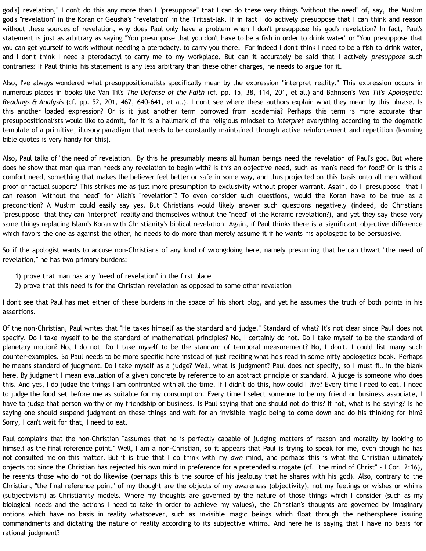god's] revelation," I don't do this any more than I "presuppose" that I can do these very things "without the need" of, say, the Muslim god's "revelation" in the Koran or Geusha's "revelation" in the Tritsat-lak. If in fact I do actively presuppose that I can think and reason without these sources of revelation, why does Paul only have a problem when I don't presuppose his god's revelation? In fact, Paul's statement is just as arbitrary as saying "You presuppose that you don't have to be a fish in order to drink water" or "You presuppose that you can get yourself to work without needing a pterodactyl to carry you there." For indeed I don't think I need to be a fish to drink water, and I don't think I need a pterodactyl to carry me to my workplace. But can it accurately be said that I actively *presuppose* such contraries? If Paul thinks his statement is any less arbitrary than these other charges, he needs to argue for it.

Also, I've always wondered what presuppositionalists specifically mean by the expression "interpret reality." This expression occurs in numerous places in books like Van Til's *The Defense of the Faith* (cf. pp. 15, 38, 114, 201, et al.) and Bahnsen's *Van Til's Apologetic: Readings & Analysis* (cf. pp. 52, 201, 467, 640-641, et al.). I don't see where these authors explain what they mean by this phrase. Is this another loaded expression? Or is it just another term borrowed from academia? Perhaps this term is more accurate than presuppositionalists would like to admit, for it is a hallmark of the religious mindset to *interpret* everything according to the dogmatic template of a primitive, illusory paradigm that needs to be constantly maintained through active reinforcement and repetition (learning bible quotes is very handy for this).

Also, Paul talks of "the need of revelation." By this he presumably means all human beings need the revelation of Paul's god. But where does he show that man qua man needs any revelation to begin with? Is this an objective need, such as man's need for food? Or is this a comfort need, something that makes the believer feel better or safe in some way, and thus projected on this basis onto all men without proof or factual support? This strikes me as just more presumption to exclusivity without proper warrant. Again, do I "presuppose" that I can reason "without the need" for Allah's "revelation"? To even consider such questions, would the Koran have to be true as a precondition? A Muslim could easily say yes. But Christians would likely answer such questions negatively (indeed, do Christians "presuppose" that they can "interpret" reality and themselves without the "need" of the Koranic revelation?), and yet they say these very same things replacing Islam's Koran with Christianity's biblical revelation. Again, if Paul thinks there is a significant objective difference which favors the one as against the other, he needs to do more than merely assume it if he wants his apologetic to be persuasive.

So if the apologist wants to accuse non-Christians of any kind of wrongdoing here, namely presuming that he can thwart "the need of revelation," he has two primary burdens:

- 1) prove that man has any "need of revelation" in the first place
- 2) prove that this need is for the Christian revelation as opposed to some other revelation

I don't see that Paul has met either of these burdens in the space of his short blog, and yet he assumes the truth of both points in his assertions.

Of the non-Christian, Paul writes that "He takes himself as the standard and judge." Standard of what? It's not clear since Paul does not specify. Do I take myself to be the standard of mathematical principles? No, I certainly do not. Do I take myself to be the standard of planetary motion? No, I do not. Do I take myself to be the standard of temporal measurement? No, I don't. I could list many such counter-examples. So Paul needs to be more specific here instead of just reciting what he's read in some nifty apologetics book. Perhaps he means standard of judgment. Do I take myself as a judge? Well, what is judgment? Paul does not specify, so I must fill in the blank here. By judgment I mean evaluation of a given concrete by reference to an abstract principle or standard. A judge is someone who does this. And yes, I do judge the things I am confronted with all the time. If I didn't do this, how could I live? Every time I need to eat, I need to judge the food set before me as suitable for my consumption. Every time I select someone to be my friend or business associate, I have to judge that person worthy of my friendship or business. Is Paul saying that one should not do this? If not, what is he saying? Is he saying one should suspend judgment on these things and wait for an invisible magic being to come down and do his thinking for him? Sorry, I can't wait for that, I need to eat.

Paul complains that the non-Christian "assumes that he is perfectly capable of judging matters of reason and morality by looking to himself as the final reference point." Well, I am a non-Christian, so it appears that Paul is trying to speak for me, even though he has not consulted me on this matter. But it is true that I do think with my *own* mind, and perhaps this is what the Christian ultimately objects to: since the Christian has rejected his own mind in preference for a pretended surrogate (cf. "the mind of Christ" - I Cor. 2:16), he resents those who do not do likewise (perhaps this is the source of his jealousy that he shares with his god). Also, contrary to the Christian, "the final reference point" of my thought are the objects of my awareness (objectivity), not my feelings or wishes or whims (subjectivism) as Christianity models. Where my thoughts are governed by the nature of those things which I consider (such as my biological needs and the actions I need to take in order to achieve my values), the Christian's thoughts are governed by imaginary notions which have no basis in reality whatsoever, such as invisible magic beings which float through the nethersphere issuing commandments and dictating the nature of reality according to its subjective whims. And here he is saying that I have no basis for rational judgment?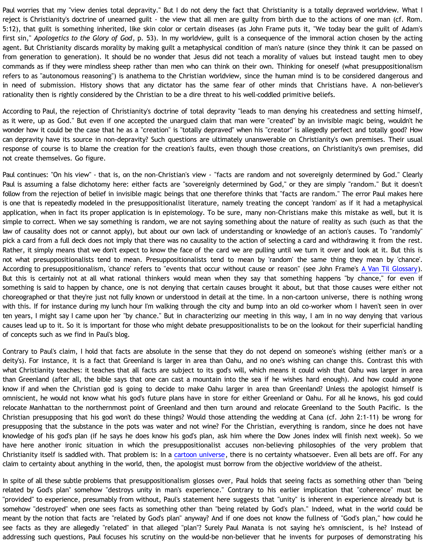Paul worries that my "view denies total depravity." But I do not deny the fact that Christianity is a totally depraved worldview. What I reject is Christianity's doctrine of unearned guilt - the view that all men are guilty from birth due to the actions of one man (cf. Rom. 5:12), that guilt is something inherited, like skin color or certain diseases (as John Frame puts it, "We today bear the guilt of Adam's first sin," *Apologetics to the Glory of God*, p. 53). In my worldview, guilt is a consequence of the immoral action chosen by the acting agent. But Christianity discards morality by making guilt a metaphysical condition of man's nature (since they think it can be passed on from generation to generation). It should be no wonder that Jesus did not teach a morality of values but instead taught men to obey commands as if they were mindless sheep rather than men who can think on their own. Thinking for oneself (what presuppositionalism refers to as "autonomous reasoning") is anathema to the Christian worldview, since the human mind is to be considered dangerous and in need of submission. History shows that any dictator has the same fear of other minds that Christians have. A non-believer's rationality then is rightly considered by the Christian to be a dire threat to his well-coddled primitive beliefs.

According to Paul, the rejection of Christianity's doctrine of total depravity "leads to man denying his createdness and setting himself, as it were, up as God." But even if one accepted the unargued claim that man were "created" by an invisible magic being, wouldn't he wonder how it could be the case that he as a "creation" is "totally depraved" when his "creator" is allegedly perfect and totally good? How can depravity have its source in non-depravity? Such questions are ultimately unanswerable on Christianity's own premises. Their usual response of course is to blame the creation for the creation's faults, even though those creations, on Christianity's own premises, did not create themselves. Go figure.

Paul continues: "On his view" - that is, on the non-Christian's view - "facts are random and not sovereignly determined by God." Clearly Paul is assuming a false dichotomy here: either facts are "sovereignly determined by God," or they are simply "random." But it doesn't follow from the rejection of belief in invisible magic beings that one therefore thinks that "facts are random." The error Paul makes here is one that is repeatedly modeled in the presuppositionalist literature, namely treating the concept 'random' as if it had a metaphysical application, when in fact its proper application is in epistemology. To be sure, many non-Christians make this mistake as well, but it is simple to correct. When we say something is random, we are not saying something about the nature of reality as such (such as that the law of causality does not or cannot apply), but about our own lack of understanding or knowledge of an action's causes. To "randomly" pick a card from a full deck does not imply that there was no causality to the action of selecting a card and withdrawing it from the rest. Rather, it simply means that we don't expect to know the face of the card we are pulling until we turn it over and look at it. But this is not what presuppositionalists tend to mean. Presuppositionalists tend to mean by 'random' the same thing they mean by 'chance'. According to presuppositionalism, 'chance' refers to "events that occur without cause or reason" (see John Frame's [A Van Til Glossary\)](http://www.thirdmill.org/files/english/practical_theology/33822~8_30_00_6-57-45_PM~PT.Frame.VanTil.Glossary.pdf). But this is certainly not at all what rational thinkers would mean when they say that something happens "by chance," for even if something is said to happen by chance, one is not denying that certain causes brought it about, but that those causes were either not choreographed or that they're just not fully known or understood in detail at the time. In a non-cartoon universe, there is nothing wrong with this. If for instance during my lunch hour I'm walking through the city and bump into an old co-worker whom I haven't seen in over ten years, I might say I came upon her "by chance." But in characterizing our meeting in this way, I am in no way denying that various causes lead up to it. So it is important for those who might debate presuppositionalists to be on the lookout for their superficial handling of concepts such as we find in Paul's blog.

Contrary to Paul's claim, I hold that facts are absolute in the sense that they do not depend on someone's wishing (either man's or a deity's). For instance, it is a fact that Greenland is larger in area than Oahu, and no one's wishing can change this. Contrast this with what Christianity teaches: it teaches that all facts are subject to its god's will, which means it could wish that Oahu was larger in area than Greenland (after all, the bible says that one can cast a mountain into the sea if he wishes hard enough). And how could anyone know if and when the Christian god is going to decide to make Oahu larger in area than Greenland? Unless the apologist himself is omniscient, he would not know what his god's future plans have in store for either Greenland or Oahu. For all he knows, his god could relocate Manhattan to the northernmost point of Greenland and then turn around and relocate Greenland to the South Pacific. Is the Christian presupposing that his god won't do these things? Would those attending the wedding at Cana (cf. John 2:1-11) be wrong for presupposing that the substance in the pots was water and not wine? For the Christian, everything is random, since he does not have knowledge of his god's plan (if he says he does know his god's plan, ask him where the Dow Jones index will finish next week). So we have here another ironic situation in which the presuppositionalist accuses non-believing philosophies of the very problem that Christianity itself is saddled with. That problem is: In a [cartoon universe](http://bahnsenburner.blogspot.com/2005/03/cartoon-universe-of-theism.html), there is no certainty whatsoever. Even all bets are off. For any claim to certainty about anything in the world, then, the apologist must borrow from the objective worldview of the atheist.

In spite of all these subtle problems that presuppositionalism glosses over, Paul holds that seeing facts as something other than "being related by God's plan" somehow "destroys unity in man's experience." Contrary to his earlier implication that "coherence" must be "provided" to experience, presumably from without, Paul's statement here suggests that "unity" is inherent in experience already but is somehow "destroyed" when one sees facts as something other than "being related by God's plan." Indeed, what in the world could be meant by the notion that facts are "related by God's plan" anyway? And if one does not know the fullness of "God's plan," how could he see facts as they are allegedly "related" in that alleged "plan"? Surely Paul Manata is not saying he's omniscient, is he? Instead of addressing such questions, Paul focuses his scrutiny on the would-be non-believer that he invents for purposes of demonstrating his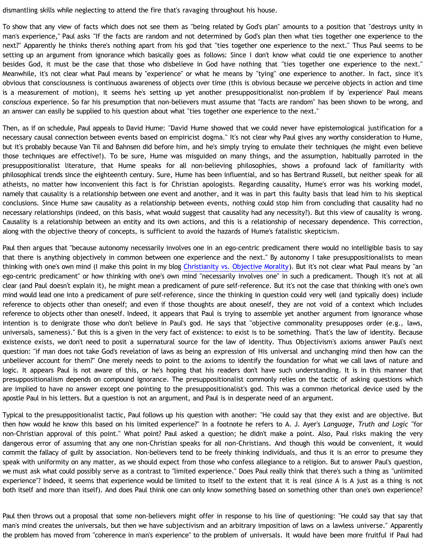dismantling skills while neglecting to attend the fire that's ravaging throughout his house.

To show that any view of facts which does not see them as "being related by God's plan" amounts to a position that "destroys unity in man's experience," Paul asks "If the facts are random and not determined by God's plan then what ties together one experience to the next?" Apparently he thinks there's nothing apart from his god that "ties together one experience to the next." Thus Paul seems to be setting up an argument from ignorance which basically goes as follows: Since I don't know what could tie one experience to another besides God, it must be the case that those who disbelieve in God have nothing that "ties together one experience to the next." Meanwhile, it's not clear what Paul means by "experience" or what he means by "tying" one experience to another. In fact, since it's obvious that consciousness is continuous awareness of objects over time (this is obvious because we perceive objects in action and time is a measurement of motion), it seems he's setting up yet another presuppositionalist non-problem if by 'experience' Paul means *conscious* experience. So far his presumption that non-believers must assume that "facts are random" has been shown to be wrong, and an answer can easily be supplied to his question about what "ties together one experience to the next."

Then, as if on schedule, Paul appeals to David Hume: "David Hume showed that we could never have epistemological justification for a necessary causal connection between events based on empiricist dogma." It's not clear why Paul gives any worthy consideration to Hume, but it's probably because Van Til and Bahnsen did before him, and he's simply trying to emulate their techniques (he might even believe those techniques are effective!). To be sure, Hume was misguided on many things, and the assumption, habitually parroted in the presuppositionalist literature, that Hume speaks for all non-believing philosophies, shows a profound lack of familiarity with philosophical trends since the eighteenth century. Sure, Hume has been influential, and so has Bertrand Russell, but neither speak for all atheists, no matter how inconvenient this fact is for Christian apologists. Regarding causality, Hume's error was his working model, namely that causality is a relationship between one event and another, and it was in part this faulty basis that lead him to his skeptical conclusions. Since Hume saw causality as a relationship between events, nothing could stop him from concluding that causality had no necessary relationships (indeed, on this basis, what would suggest that causality had any necessity?). But this view of causality is wrong. Causality is a relationship between an entity and its own actions, and this is a relationship of necessary dependence. This correction, along with the objective theory of concepts, is sufficient to avoid the hazards of Hume's fatalistic skepticism.

Paul then argues that "because autonomy necessarily involves one in an ego-centric predicament there would no intelligible basis to say that there is anything objectively in common between one experience and the next." By autonomy I take presuppositionalists to mean thinking with one's own mind (I make this point in my blog [Christianity vs. Objective Morality\)](http://bahnsenburner.blogspot.com/2005/03/christianity-vs-objective-morality.html). But it's not clear what Paul means by "an ego-centric predicament" or how thinking with one's own mind "necessarily involves one" in such a predicament. Though it's not at all clear (and Paul doesn't explain it), he might mean a predicament of pure self-reference. But it's not the case that thinking with one's own mind would lead one into a predicament of pure self-reference, since the thinking in question could very well (and typically does) include reference to objects other than oneself; and even if those thoughts are about oneself, they are not void of a context which includes reference to objects other than oneself. Indeed, it appears that Paul is trying to assemble yet another argument from ignorance whose intention is to denigrate those who don't believe in Paul's god. He says that "objective commonality presupposes order (e.g., laws, universals, sameness)." But this is a given in the very fact of existence: to exist is to be something. That's the law of identity. Because existence exists, we don't need to posit a supernatural source for the law of identity. Thus Objectivism's axioms answer Paul's next question: "if man does not take God's revelation of laws as being an expression of His universal and unchanging mind then how can the unbeliever account for them?" One merely needs to point to the axioms to identify the foundation for what we call laws of nature and logic. It appears Paul is not aware of this, or he's hoping that his readers don't have such understanding. It is in this manner that presuppositionalism depends on compound ignorance. The presuppositionalist commonly relies on the tactic of asking questions which are implied to have no answer except one pointing to the presuppositionalist's god. This was a common rhetorical device used by the apostle Paul in his letters. But a question is not an argument, and Paul is in desperate need of an argument.

Typical to the presuppositionalist tactic, Paul follows up his question with another: "He could say that they exist and are objective. But then how would he know this based on his limited experience?" In a footnote he refers to A. J. Ayer's *Language, Truth and Logic* "for non-Christian approval of this point." What point? Paul asked a question; he didn't make a point. Also, Paul risks making the very dangerous error of assuming that any one non-Christian speaks for all non-Christians. And though this would be convenient, it would commit the fallacy of guilt by association. Non-believers tend to be freely thinking individuals, and thus it is an error to presume they speak with uniformity on any matter, as we should expect from those who confess allegiance to a religion. But to answer Paul's question, we must ask what could possibly serve as a contrast to "limited experience." Does Paul really think that there's such a thing as "unlimited experience"? Indeed, it seems that experience would be limited to itself to the extent that it is real (since A is A just as a thing is not both itself and more than itself). And does Paul think one can only know something based on something other than one's own experience?

Paul then throws out a proposal that some non-believers might offer in response to his line of questioning: "He could say that say that man's mind creates the universals, but then we have subjectivism and an arbitrary imposition of laws on a lawless universe." Apparently the problem has moved from "coherence in man's experience" to the problem of universals. It would have been more fruitful if Paul had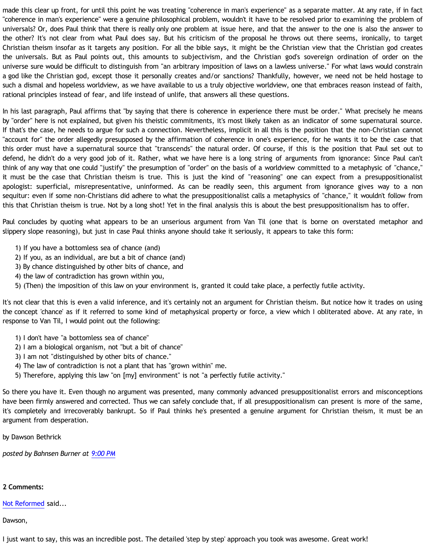made this clear up front, for until this point he was treating "coherence in man's experience" as a separate matter. At any rate, if in fact "coherence in man's experience" were a genuine philosophical problem, wouldn't it have to be resolved prior to examining the problem of universals? Or, does Paul think that there is really only one problem at issue here, and that the answer to the one is also the answer to the other? It's not clear from what Paul does say. But his criticism of the proposal he throws out there seems, ironically, to target Christian theism insofar as it targets any position. For all the bible says, it might be the Christian view that the Christian god creates the universals. But as Paul points out, this amounts to subjectivism, and the Christian god's sovereign ordination of order on the universe sure would be difficult to distinguish from "an arbitrary imposition of laws on a lawless universe." For what laws would constrain a god like the Christian god, except those it personally creates and/or sanctions? Thankfully, however, we need not be held hostage to such a dismal and hopeless worldview, as we have available to us a truly objective worldview, one that embraces reason instead of faith, rational principles instead of fear, and life instead of unlife, that answers all these questions.

In his last paragraph, Paul affirms that "by saying that there is coherence in experience there must be order." What precisely he means by "order" here is not explained, but given his theistic commitments, it's most likely taken as an indicator of some supernatural source. If that's the case, he needs to argue for such a connection. Nevertheless, implicit in all this is the position that the non-Christian cannot "account for" the order allegedly presupposed by the affirmation of coherence in one's experience, for he wants it to be the case that this order must have a supernatural source that "transcends" the natural order. Of course, if this is the position that Paul set out to defend, he didn't do a very good job of it. Rather, what we have here is a long string of arguments from ignorance: Since Paul can't think of any way that one could "justify" the presumption of "order" on the basis of a worldview committed to a metaphysic of "chance," it must be the case that Christian theism is true. This is just the kind of "reasoning" one can expect from a presuppositionalist apologist: superficial, misrepresentative, uninformed. As can be readily seen, this argument from ignorance gives way to a non sequitur: even if some non-Christians did adhere to what the presuppositionalist calls a metaphysics of "chance," it wouldn't follow from this that Christian theism is true. Not by a long shot! Yet in the final analysis this is about the best presuppositionalism has to offer.

Paul concludes by quoting what appears to be an unserious argument from Van Til (one that is borne on overstated metaphor and slippery slope reasoning), but just in case Paul thinks anyone should take it seriously, it appears to take this form:

- 1) If you have a bottomless sea of chance (and)
- 2) If you, as an individual, are but a bit of chance (and)
- 3) By chance distinguished by other bits of chance, and
- 4) the law of contradiction has grown within you,
- 5) (Then) the imposition of this law on your environment is, granted it could take place, a perfectly futile activity.

It's not clear that this is even a valid inference, and it's certainly not an argument for Christian theism. But notice how it trades on using the concept 'chance' as if it referred to some kind of metaphysical property or force, a view which I obliterated above. At any rate, in response to Van Til, I would point out the following:

- 1) I don't have "a bottomless sea of chance"
- 2) I am a biological organism, not "but a bit of chance"
- 3) I am not "distinguished by other bits of chance."
- 4) The law of contradiction is not a plant that has "grown within" me.
- 5) Therefore, applying this law "on [my] environment" is not "a perfectly futile activity."

So there you have it. Even though no argument was presented, many commonly advanced presuppositionalist errors and misconceptions have been firmly answered and corrected. Thus we can safely conclude that, if all presuppositionalism can present is more of the same, it's completely and irrecoverably bankrupt. So if Paul thinks he's presented a genuine argument for Christian theism, it must be an argument from desperation.

by Dawson Bethrick

*posted by Bahnsen Burner at [9:00 PM](http://bahnsenburner.blogspot.com/2005/04/pauls-argument-from-desperation.html)*

## **2 Comments:**

[Not Reformed](http://www.blogger.com/profile/8159639) said...

Dawson,